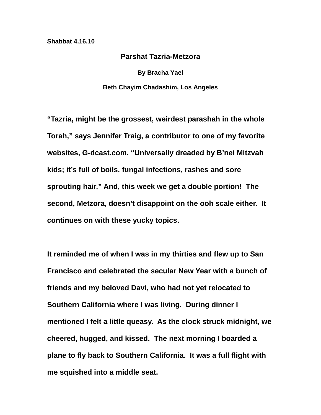## **Shabbat 4.16.10**

## **Parshat Tazria-Metzora**

**By Bracha Yael Beth Chayim Chadashim, Los Angeles** 

**"Tazria, might be the grossest, weirdest parashah in the whole Torah," says Jennifer Traig, a contributor to one of my favorite websites, G-dcast.com. "Universally dreaded by B'nei Mitzvah kids; it's full of boils, fungal infections, rashes and sore sprouting hair." And, this week we get a double portion! The second, Metzora, doesn't disappoint on the ooh scale either. It continues on with these yucky topics.** 

**It reminded me of when I was in my thirties and flew up to San Francisco and celebrated the secular New Year with a bunch of friends and my beloved Davi, who had not yet relocated to Southern California where I was living. During dinner I mentioned I felt a little queasy. As the clock struck midnight, we cheered, hugged, and kissed. The next morning I boarded a plane to fly back to Southern California. It was a full flight with me squished into a middle seat.**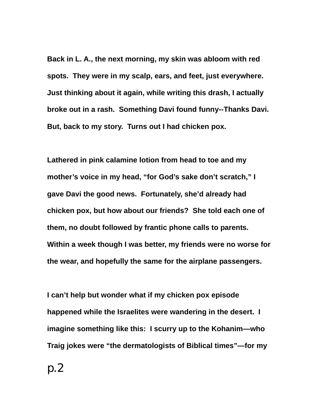**Back in L. A., the next morning, my skin was abloom with red spots. They were in my scalp, ears, and feet, just everywhere. Just thinking about it again, while writing this drash, I actually broke out in a rash. Something Davi found funny--Thanks Davi. But, back to my story. Turns out I had chicken pox.** 

**Lathered in pink calamine lotion from head to toe and my mother's voice in my head, "for God's sake don't scratch," I gave Davi the good news. Fortunately, she'd already had chicken pox, but how about our friends? She told each one of them, no doubt followed by frantic phone calls to parents. Within a week though I was better, my friends were no worse for the wear, and hopefully the same for the airplane passengers.** 

**I can't help but wonder what if my chicken pox episode happened while the Israelites were wandering in the desert. I imagine something like this: I scurry up to the Kohanim—who Traig jokes were "the dermatologists of Biblical times"—for my**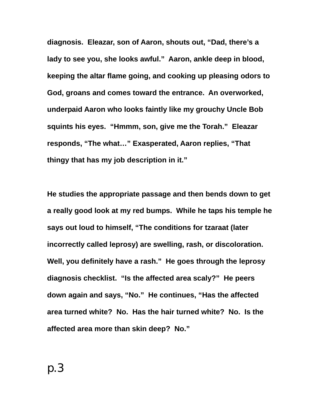**diagnosis. Eleazar, son of Aaron, shouts out, "Dad, there's a lady to see you, she looks awful." Aaron, ankle deep in blood, keeping the altar flame going, and cooking up pleasing odors to God, groans and comes toward the entrance. An overworked, underpaid Aaron who looks faintly like my grouchy Uncle Bob squints his eyes. "Hmmm, son, give me the Torah." Eleazar responds, "The what…" Exasperated, Aaron replies, "That thingy that has my job description in it."** 

**He studies the appropriate passage and then bends down to get a really good look at my red bumps. While he taps his temple he says out loud to himself, "The conditions for tzaraat (later incorrectly called leprosy) are swelling, rash, or discoloration. Well, you definitely have a rash." He goes through the leprosy diagnosis checklist. "Is the affected area scaly?" He peers down again and says, "No." He continues, "Has the affected area turned white? No. Has the hair turned white? No. Is the affected area more than skin deep? No."**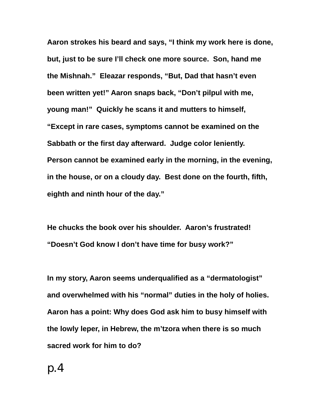**Aaron strokes his beard and says, "I think my work here is done, but, just to be sure I'll check one more source. Son, hand me the Mishnah." Eleazar responds, "But, Dad that hasn't even been written yet!" Aaron snaps back, "Don't pilpul with me, young man!" Quickly he scans it and mutters to himself, "Except in rare cases, symptoms cannot be examined on the Sabbath or the first day afterward. Judge color leniently. Person cannot be examined early in the morning, in the evening, in the house, or on a cloudy day. Best done on the fourth, fifth, eighth and ninth hour of the day."** 

**He chucks the book over his shoulder. Aaron's frustrated! "Doesn't God know I don't have time for busy work?"** 

**In my story, Aaron seems underqualified as a "dermatologist" and overwhelmed with his "normal" duties in the holy of holies. Aaron has a point: Why does God ask him to busy himself with the lowly leper, in Hebrew, the m'tzora when there is so much sacred work for him to do?**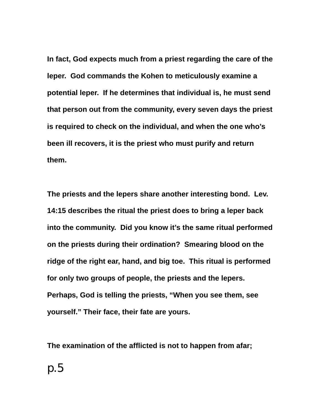**In fact, God expects much from a priest regarding the care of the leper. God commands the Kohen to meticulously examine a potential leper. If he determines that individual is, he must send that person out from the community, every seven days the priest is required to check on the individual, and when the one who's been ill recovers, it is the priest who must purify and return them.** 

**The priests and the lepers share another interesting bond. Lev. 14:15 describes the ritual the priest does to bring a leper back into the community. Did you know it's the same ritual performed on the priests during their ordination? Smearing blood on the ridge of the right ear, hand, and big toe. This ritual is performed for only two groups of people, the priests and the lepers. Perhaps, God is telling the priests, "When you see them, see yourself." Their face, their fate are yours.** 

**The examination of the afflicted is not to happen from afar;**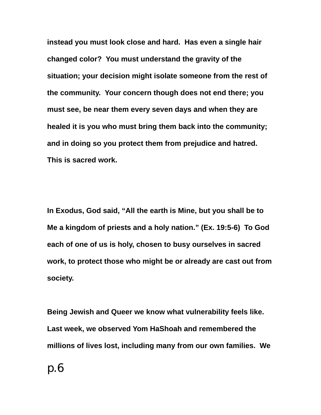**instead you must look close and hard. Has even a single hair changed color? You must understand the gravity of the situation; your decision might isolate someone from the rest of the community. Your concern though does not end there; you must see, be near them every seven days and when they are healed it is you who must bring them back into the community; and in doing so you protect them from prejudice and hatred. This is sacred work.** 

**In Exodus, God said, "All the earth is Mine, but you shall be to Me a kingdom of priests and a holy nation." (Ex. 19:5-6) To God each of one of us is holy, chosen to busy ourselves in sacred work, to protect those who might be or already are cast out from society.** 

**Being Jewish and Queer we know what vulnerability feels like. Last week, we observed Yom HaShoah and remembered the millions of lives lost, including many from our own families. We**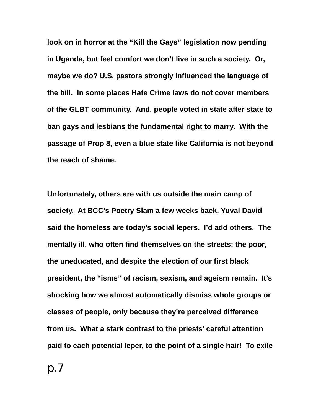**look on in horror at the "Kill the Gays" legislation now pending in Uganda, but feel comfort we don't live in such a society. Or, maybe we do? U.S. pastors strongly influenced the language of the bill. In some places Hate Crime laws do not cover members of the GLBT community. And, people voted in state after state to ban gays and lesbians the fundamental right to marry. With the passage of Prop 8, even a blue state like California is not beyond the reach of shame.** 

**Unfortunately, others are with us outside the main camp of society. At BCC's Poetry Slam a few weeks back, Yuval David said the homeless are today's social lepers. I'd add others. The mentally ill, who often find themselves on the streets; the poor, the uneducated, and despite the election of our first black president, the "isms" of racism, sexism, and ageism remain. It's shocking how we almost automatically dismiss whole groups or classes of people, only because they're perceived difference from us. What a stark contrast to the priests' careful attention paid to each potential leper, to the point of a single hair! To exile**